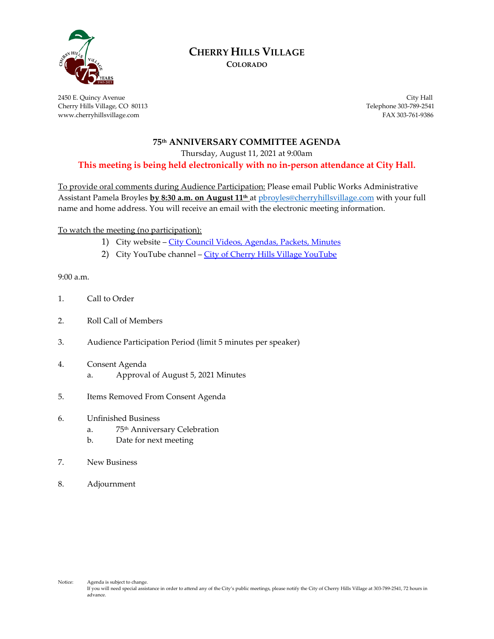

# **CHERRY HILLS VILLAGE**

**COLORADO**

2450 E. Quincy Avenue City Hall Cherry Hills Village, CO 80113 Telephone 303-789-2541 www.cherryhillsvillage.com FAX 303-761-9386

### **75th ANNIVERSARY COMMITTEE AGENDA**

Thursday, August 11, 2021 at 9:00am

**This meeting is being held electronically with no in-person attendance at City Hall.**

To provide oral comments during Audience Participation: Please email Public Works Administrative Assistant Pamela Broyles **by 8:30 a.m. on August 11th** at [pbroyles@cherryhillsvillage.com](mailto:pbroyles@cherryhillsvillage.com) with your full name and home address. You will receive an email with the electronic meeting information.

To watch the meeting (no participation):

- 1) City website [City Council Videos, Agendas, Packets, Minutes](http://www.cherryhillsvillage.com/501/Council-Videos-Agendas-Packets-Minutes)
- 2) City YouTube channel [City of Cherry Hills Village YouTube](https://www.youtube.com/channel/UCHY4MgJ1gekrqDW949gW7Gw)

9:00 a.m.

- 1. Call to Order
- 2. Roll Call of Members
- 3. Audience Participation Period (limit 5 minutes per speaker)
- 4. Consent Agenda a. Approval of August 5, 2021 Minutes
- 5. Items Removed From Consent Agenda
- 6. Unfinished Business
	- a. 75th Anniversary Celebration
	- b. Date for next meeting
- 7. New Business
- 8. Adjournment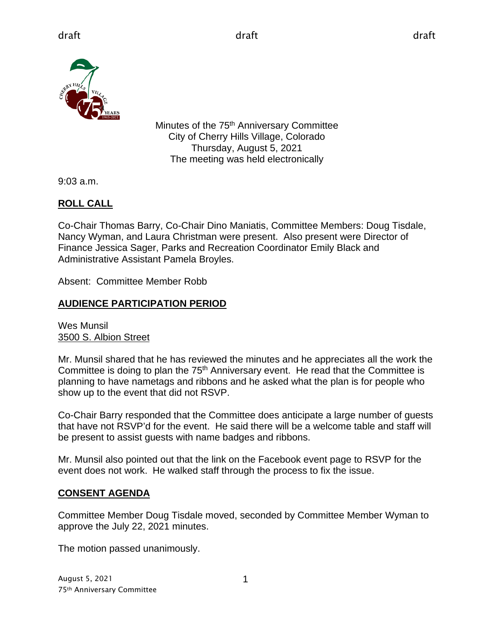

Minutes of the 75<sup>th</sup> Anniversary Committee City of Cherry Hills Village, Colorado Thursday, August 5, 2021 The meeting was held electronically

9:03 a.m.

# **ROLL CALL**

Co-Chair Thomas Barry, Co-Chair Dino Maniatis, Committee Members: Doug Tisdale, Nancy Wyman, and Laura Christman were present. Also present were Director of Finance Jessica Sager, Parks and Recreation Coordinator Emily Black and Administrative Assistant Pamela Broyles.

Absent: Committee Member Robb

# **AUDIENCE PARTICIPATION PERIOD**

Wes Munsil 3500 S. Albion Street

Mr. Munsil shared that he has reviewed the minutes and he appreciates all the work the Committee is doing to plan the  $75<sup>th</sup>$  Anniversary event. He read that the Committee is planning to have nametags and ribbons and he asked what the plan is for people who show up to the event that did not RSVP.

Co-Chair Barry responded that the Committee does anticipate a large number of guests that have not RSVP'd for the event. He said there will be a welcome table and staff will be present to assist guests with name badges and ribbons.

Mr. Munsil also pointed out that the link on the Facebook event page to RSVP for the event does not work. He walked staff through the process to fix the issue.

# **CONSENT AGENDA**

Committee Member Doug Tisdale moved, seconded by Committee Member Wyman to approve the July 22, 2021 minutes.

The motion passed unanimously.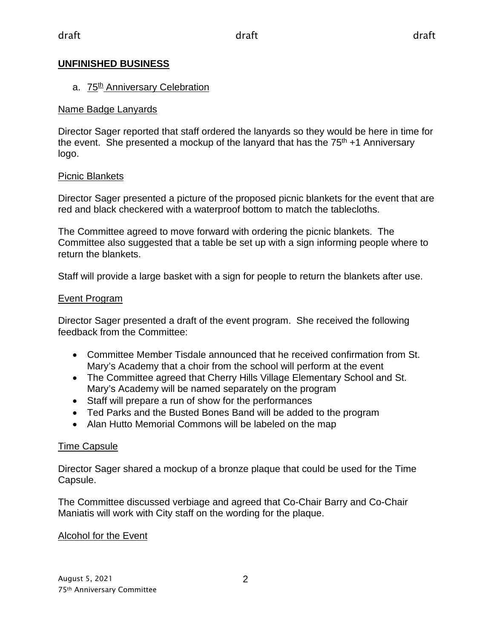## **UNFINISHED BUSINESS**

## a. 75<sup>th</sup> Anniversary Celebration

## Name Badge Lanyards

Director Sager reported that staff ordered the lanyards so they would be here in time for the event. She presented a mockup of the lanyard that has the  $75<sup>th</sup> + 1$  Anniversary logo.

## Picnic Blankets

Director Sager presented a picture of the proposed picnic blankets for the event that are red and black checkered with a waterproof bottom to match the tablecloths.

The Committee agreed to move forward with ordering the picnic blankets. The Committee also suggested that a table be set up with a sign informing people where to return the blankets.

Staff will provide a large basket with a sign for people to return the blankets after use.

## Event Program

Director Sager presented a draft of the event program. She received the following feedback from the Committee:

- Committee Member Tisdale announced that he received confirmation from St. Mary's Academy that a choir from the school will perform at the event
- The Committee agreed that Cherry Hills Village Elementary School and St. Mary's Academy will be named separately on the program
- Staff will prepare a run of show for the performances
- Ted Parks and the Busted Bones Band will be added to the program
- Alan Hutto Memorial Commons will be labeled on the map

## Time Capsule

Director Sager shared a mockup of a bronze plaque that could be used for the Time Capsule.

The Committee discussed verbiage and agreed that Co-Chair Barry and Co-Chair Maniatis will work with City staff on the wording for the plaque.

## Alcohol for the Event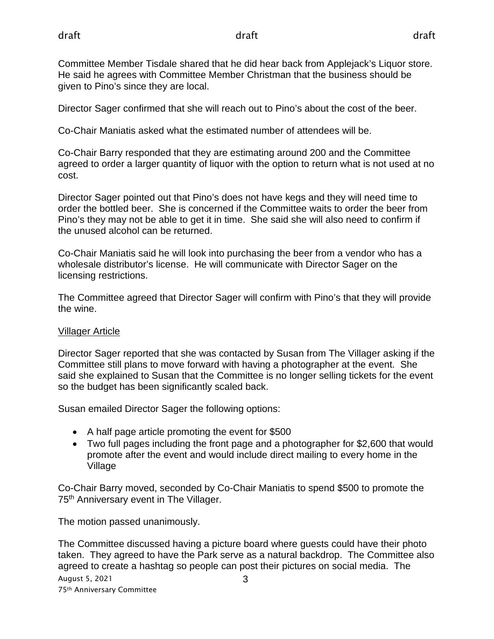Committee Member Tisdale shared that he did hear back from Applejack's Liquor store. He said he agrees with Committee Member Christman that the business should be given to Pino's since they are local.

Director Sager confirmed that she will reach out to Pino's about the cost of the beer.

Co-Chair Maniatis asked what the estimated number of attendees will be.

Co-Chair Barry responded that they are estimating around 200 and the Committee agreed to order a larger quantity of liquor with the option to return what is not used at no cost.

Director Sager pointed out that Pino's does not have kegs and they will need time to order the bottled beer. She is concerned if the Committee waits to order the beer from Pino's they may not be able to get it in time. She said she will also need to confirm if the unused alcohol can be returned.

Co-Chair Maniatis said he will look into purchasing the beer from a vendor who has a wholesale distributor's license. He will communicate with Director Sager on the licensing restrictions.

The Committee agreed that Director Sager will confirm with Pino's that they will provide the wine.

## Villager Article

Director Sager reported that she was contacted by Susan from The Villager asking if the Committee still plans to move forward with having a photographer at the event. She said she explained to Susan that the Committee is no longer selling tickets for the event so the budget has been significantly scaled back.

Susan emailed Director Sager the following options:

- A half page article promoting the event for \$500
- Two full pages including the front page and a photographer for \$2,600 that would promote after the event and would include direct mailing to every home in the Village

Co-Chair Barry moved, seconded by Co-Chair Maniatis to spend \$500 to promote the 75<sup>th</sup> Anniversary event in The Villager.

The motion passed unanimously.

August 5, 2021 75th Anniversary Committee 3 The Committee discussed having a picture board where guests could have their photo taken. They agreed to have the Park serve as a natural backdrop. The Committee also agreed to create a hashtag so people can post their pictures on social media. The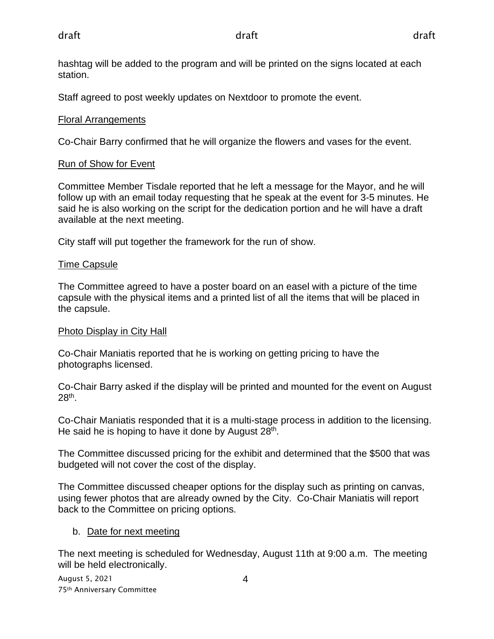hashtag will be added to the program and will be printed on the signs located at each station.

Staff agreed to post weekly updates on Nextdoor to promote the event.

# Floral Arrangements

Co-Chair Barry confirmed that he will organize the flowers and vases for the event.

# Run of Show for Event

Committee Member Tisdale reported that he left a message for the Mayor, and he will follow up with an email today requesting that he speak at the event for 3-5 minutes. He said he is also working on the script for the dedication portion and he will have a draft available at the next meeting.

City staff will put together the framework for the run of show.

# Time Capsule

The Committee agreed to have a poster board on an easel with a picture of the time capsule with the physical items and a printed list of all the items that will be placed in the capsule.

# Photo Display in City Hall

Co-Chair Maniatis reported that he is working on getting pricing to have the photographs licensed.

Co-Chair Barry asked if the display will be printed and mounted for the event on August 28th.

Co-Chair Maniatis responded that it is a multi-stage process in addition to the licensing. He said he is hoping to have it done by August  $28<sup>th</sup>$ .

The Committee discussed pricing for the exhibit and determined that the \$500 that was budgeted will not cover the cost of the display.

The Committee discussed cheaper options for the display such as printing on canvas, using fewer photos that are already owned by the City. Co-Chair Maniatis will report back to the Committee on pricing options.

# b. Date for next meeting

The next meeting is scheduled for Wednesday, August 11th at 9:00 a.m. The meeting will be held electronically.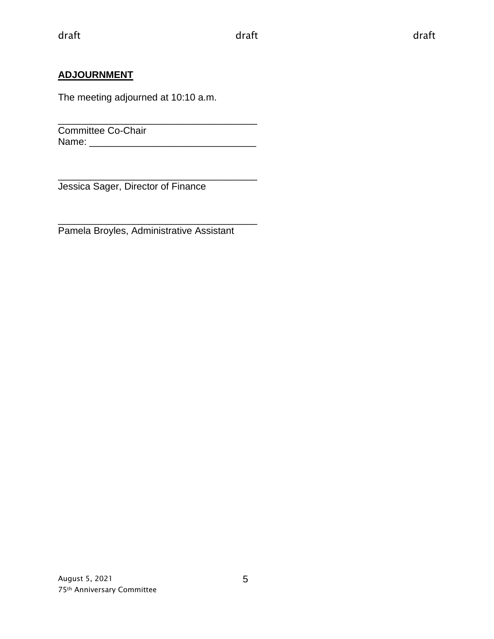## **ADJOURNMENT**

The meeting adjourned at 10:10 a.m.

\_\_\_\_\_\_\_\_\_\_\_\_\_\_\_\_\_\_\_\_\_\_\_\_\_\_\_\_\_\_\_\_\_\_\_\_\_ Committee Co-Chair Name: \_\_\_\_\_\_\_\_\_\_\_\_\_\_\_\_\_\_\_\_\_\_\_\_\_\_\_\_\_\_\_

\_\_\_\_\_\_\_\_\_\_\_\_\_\_\_\_\_\_\_\_\_\_\_\_\_\_\_\_\_\_\_\_\_\_\_\_\_ Jessica Sager, Director of Finance

\_\_\_\_\_\_\_\_\_\_\_\_\_\_\_\_\_\_\_\_\_\_\_\_\_\_\_\_\_\_\_\_\_\_\_\_\_ Pamela Broyles, Administrative Assistant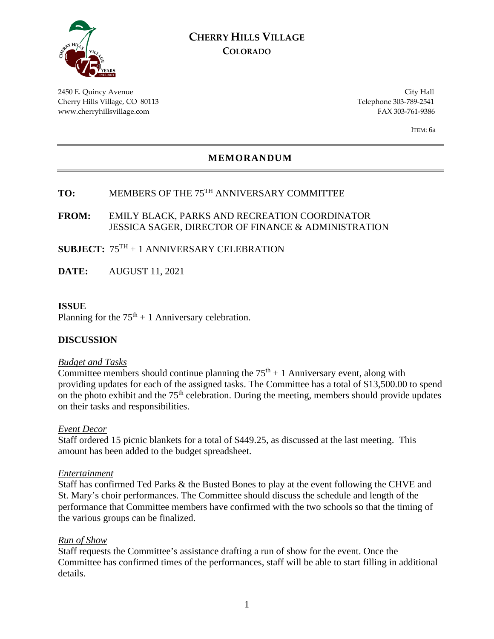

## **CHERRY HILLS VILLAGE COLORADO**

2450 E. Quincy Avenue City Hall Cherry Hills Village, CO 80113 Telephone 303-789-2541 www.cherryhillsvillage.com FAX 303-761-9386

ITEM: 6a

## **MEMORANDUM**

# **TO:** MEMBERS OF THE 75TH ANNIVERSARY COMMITTEE

#### **FROM:** EMILY BLACK, PARKS AND RECREATION COORDINATOR JESSICA SAGER, DIRECTOR OF FINANCE & ADMINISTRATION

## **SUBJECT:** 75TH + 1 ANNIVERSARY CELEBRATION

**DATE:** AUGUST 11, 2021

#### **ISSUE**

Planning for the  $75<sup>th</sup> + 1$  Anniversary celebration.

### **DISCUSSION**

#### *Budget and Tasks*

Committee members should continue planning the  $75<sup>th</sup> + 1$  Anniversary event, along with providing updates for each of the assigned tasks. The Committee has a total of \$13,500.00 to spend on the photo exhibit and the  $75<sup>th</sup>$  celebration. During the meeting, members should provide updates on their tasks and responsibilities.

#### *Event Decor*

Staff ordered 15 picnic blankets for a total of \$449.25, as discussed at the last meeting. This amount has been added to the budget spreadsheet.

#### *Entertainment*

Staff has confirmed Ted Parks & the Busted Bones to play at the event following the CHVE and St. Mary's choir performances. The Committee should discuss the schedule and length of the performance that Committee members have confirmed with the two schools so that the timing of the various groups can be finalized.

#### *Run of Show*

Staff requests the Committee's assistance drafting a run of show for the event. Once the Committee has confirmed times of the performances, staff will be able to start filling in additional details.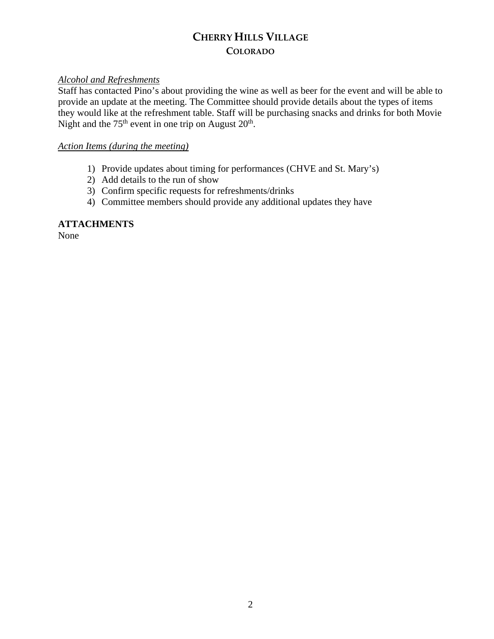# **CHERRY HILLS VILLAGE COLORADO**

## *Alcohol and Refreshments*

Staff has contacted Pino's about providing the wine as well as beer for the event and will be able to provide an update at the meeting. The Committee should provide details about the types of items they would like at the refreshment table. Staff will be purchasing snacks and drinks for both Movie Night and the  $75<sup>th</sup>$  event in one trip on August  $20<sup>th</sup>$ .

## *Action Items (during the meeting)*

- 1) Provide updates about timing for performances (CHVE and St. Mary's)
- 2) Add details to the run of show
- 3) Confirm specific requests for refreshments/drinks
- 4) Committee members should provide any additional updates they have

## **ATTACHMENTS**

None